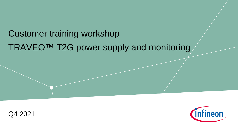# TRAVEO™ T2G power supply and monitoring Customer training workshop



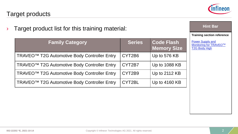

**Training section reference**

**Hint Bar** 

**Power Supply and** 

Monitoring for TRAVEO™ T2G Body High

| Target product list for this training material: |  |  |
|-------------------------------------------------|--|--|
|                                                 |  |  |

| <b>Family Category</b>                                   | <b>Series</b> | <b>Code Flash</b><br><b>Memory Size</b> |
|----------------------------------------------------------|---------------|-----------------------------------------|
| TRAVEO <sup>™</sup> T2G Automotive Body Controller Entry | CYT2B6        | Up to 576 KB                            |
| TRAVEO <sup>™</sup> T2G Automotive Body Controller Entry | CYT2B7        | Up to 1088 KB                           |
| TRAVEO <sup>™</sup> T2G Automotive Body Controller Entry | CYT2B9        | Up to 2112 KB                           |
| TRAVEO <sup>™</sup> T2G Automotive Body Controller Entry | CYT2BL        | Up to 4160 KB                           |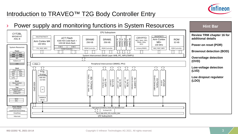

### Introduction to TRAVEO™ T2G Body Controller Entry

Power supply and monitoring functions in System Resources **Hint Bar**  CPU Subsystem CYT2BL **Review TRM chapter 16 for**  MXS40-HT SWJ/MTB/CTI SWJ/ETM/ITM/CTI eCT Flash CRYPTO **additional details**  ASIL-B Arm Cortex SRAM0 SRAM1 MA-DMAO ROM 92 Channel P-DMA1<br>44 Channel<br>P-DMA0 44 Channel 4 Channel AES, SHA, CRC, 4160 KB Code-flash + Arm Cortex M4 256 KB 256 KB TRNG, RSA,  $M<sub>0+</sub>$ 32 KB 128 KB Work-flash 160 MHz ECC **Power-on reset (POR)** 100 MHz 8 KB \$ 8 KB \$ System Resources FPU, NVIC, MPU SRAM Controller SRAM Controller Initiator/MMIO MUL, NVIC, MPU ROM Controller FLASH Controller **Brownout detection (BOD) Power** ſſ JC JC JC ſì Jì ſÈ ſì ſÌ ĵζ ו ר Sleep Control **POR BOD** System Interconnect (Multi Layer AHB, IPC, MPU/SMPU) **LVD OVD Overvoltage detection**  REF **(OVD)** PWRSYS-HT Peripheral Interconnect (MMIO, PPU) LDO **PCLK** DIAB SSOI<br> $\left[\begin{array}{c} \overline{P} \\ \overline{P} \end{array}\right]$ **Low-voltage detection Clock** ] [ Clock Control **(LVD)** Prog. 2xILO WDT IMO ECO Analog 83x TCPWM<br><sup>TIMER, CTR, QD, PWM</sup> TIMER, CTR, QD, PWM FLL CSV EVTGEN<br>Event Generator Event Generator **Low dropout regulator**  8x CANFD<br>CAN-FD Interface SAR ADC **7x SCB**<br>
<sup>12C</sup>, SPI, UART CAN-FD Interface 1xPLL 83x TCPWM 4x CXPI<br>CXPI Interface **1x SCB**<br>I2C, SPI, UART CXPI Interface 8x CANFD 12x LIN<br>LINUART (12-bit) EVTGEN LIN/UART eFUSE<br>1024 bit<br>1024 **(LDO) Reset** SSOI Reset Control XRES Old<sub>D</sub> **Test** x3 TestMode Entry Digital DFT Analog DFT  $\frac{WCO}{256}$   $\left| \begin{array}{c} \end{array} \right|$   $\left| \begin{array}{c} \end{array} \right|$  SARMUX RTC **Power Modes** High-Speed I/O Matrix, Smart I/O, Boundary Scan Active/Sleep 5x Smart I/O wePowerActive/Sleep DeepSleep Up to 148x GPIO\_STD, 4x GPIO\_ENH I/O Subsystem Hibernate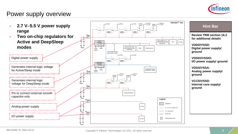

#### Power supply overview

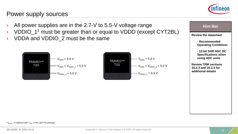

#### Power supply sources

- All power supplies are in the 2.7-V to 5.5-V voltage range **Health Containst Telecom** Hint Bar
- › VDDIO\_11 must be greater than or equal to VDDD (except CYT2BL)
- VDDA and VDDIO 2 must be the same



**Review the datasheet** 

**- Recommended Operating Conditions**

**- 12-bit SAR ADC DC Specifications when using ADC units**

**Review TRM sections 16.2.3 and 16.2.4 for additional details**

<sup>1</sup> V<sub>DDIO</sub><sup>1</sup> is replaced with V<sub>DDD</sub> in the LQFP-64 package.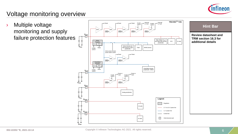

# Voltage monitoring overview

monitoring and supply failure protection features



**Review datasheet and TRM section 16.3 for additional details**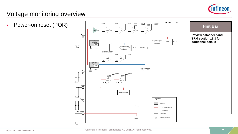

### Voltage monitoring overview



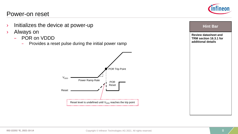#### Power-on reset

- › Initializes the device at power-up
- › Always on
	- POR on VDDD
		- Provides a reset pulse during the initial power ramp





**additional details**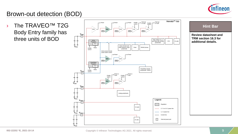

### Brown-out detection (BOD)

› The TRAVEO™ T2G Body Entry family has three units of BOD



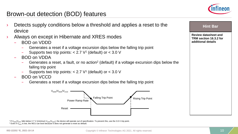

#### Brown-out detection (BOD) features

Detects supply conditions below a threshold and applies a reset to the Always on except in Hibernate and XRES modes – Generates a reset if a voltage excursion dips below the falling trip point Supports two trip points:  $< 2.7$  V<sup>1</sup> (default) or  $< 3.0$  V – Generates a reset, a fault, or no action2 (default) if a voltage excursion dips below the falling trip point Supports two trip points:  $< 2.7$  V<sup>1</sup> (default) or  $< 3.0$  V – Generates a reset if a voltage excursion dips below the falling trip point **Review datasheet and TRM section 16.3.2 for additional details Hint Bar**   $V_{DDD}/V_{DDA}/V_{CCD}$ Falling Trip Point Rising Trip Point Reset Power Ramp Rate

<sup>1</sup> If V<sub>DDD</sub>/V<sub>DDA</sub> falls below 2.7 V (minimum V<sub>DDD</sub>/V<sub>DDA</sub>), the device will operate out of specification. To prevent this, use the 3.0-V trip point.

device

– BOD on VDDD

– BOD on VDDA

– BOD on VCCD

<sup>&</sup>lt;sup>2</sup> Even if  $V_{DDA}$  is low, the MCU can boot because it does not generate a reset as default.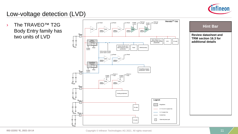

## Low-voltage detection (LVD)

› The TRAVEO™ T2G Body Entry family has two units of LVD



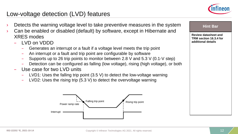

#### Low-voltage detection (LVD) features

- Detects the warning voltage level to take preventive measures in the system
- Can be enabled or disabled (default) by software, except in Hibernate and XRES modes
	- LVD on VDDD
		- Generates an interrupt or a fault if a voltage level meets the trip point
		- An interrupt or a fault and trip point are configurable by software
		- Supports up to 26 trip points to monitor between 2.8 V and 5.3 V (0.1-V step)
		- Detection can be configured as falling (low voltage), rising (high voltage), or both
	- Use case for two LVD units
		- LVD1: Uses the falling trip point (3.5 V) to detect the low-voltage warning
		- LVD2: Uses the rising trip (5.3 V) to detect the overvoltage warning



#### **Hint Bar**

**Review datasheet and TRM section 16.3.4 for additional details**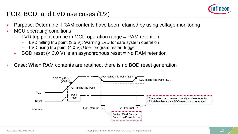

#### POR, BOD, and LVD use cases (1/2)

- Purpose: Determine if RAM contents have been retained by using voltage monitoring
- MCU operating conditions
	- LVD trip point can be in MCU operation range  $=$  RAM retention
		- LVD falling trip point (3.5 V): Warning LVD for safe system operation
		- LVD rising trip point (4.0 V): User program restart trigger
	- BOD reset  $( $3.0 \text{ V}$ )$  is an asynchronous reset = No RAM retention
- Case: When RAM contents are retained, there is no BOD reset generation

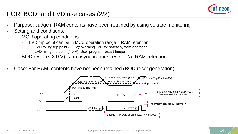

### POR, BOD, and LVD use cases (2/2)

- Purpose: Judge if RAM contents have been retained by using voltage monitoring
- Setting and conditions:
	- MCU operating conditions:
		- LVD trip point can be in MCU operation range = RAM retention
			- LVD falling trip point (3.5 V): Warning LVD for safety system operation
			- LVD rising trip point (4.0 V): User program restart trigger
	- BOD reset  $( $3.0 \text{ V}$ )$  is an asynchronous reset = No RAM retention
- Case: For RAM, contents have not been retained (BOD reset generation)

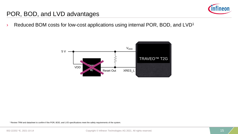

#### POR, BOD, and LVD advantages

 $\rightarrow$  Reduced BOM costs for low-cost applications using internal POR, BOD, and LVD<sup>1</sup>



1 Review TRM and datasheet to confirm if the POR, BOD, and LVD specifications meet the safety requirements of the system.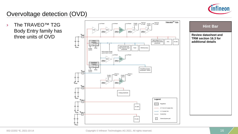

# Overvoltage detection (OVD)

› The TRAVEO™ T2G Body Entry family has



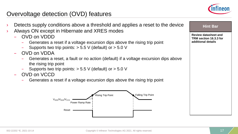

#### Overvoltage detection (OVD) features

- Detects supply conditions above a threshold and applies a reset to the device
- Always ON except in Hibernate and XRES modes
	- OVD on VDDD
		- Generates a reset if a voltage excursion dips above the rising trip point
		- Supports two trip points:  $> 5.5$  V (default) or  $> 5.0$  V
	- OVD on VDDA
		- Generates a reset, a fault or no action (default) if a voltage excursion dips above the rising trip point
		- Supports two trip points: > 5.5 V (default) or > 5.0 V
	- OVD on VCCD
		- Generates a reset if a voltage excursion dips above the rising trip point



| 40) r |  |
|-------|--|
|-------|--|

**Review datasheet and TRM section 16.3.3 for additional details**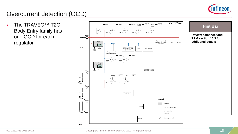

## Overcurrent detection (OCD)

› The TRAVEO™ T2G Body Entry family has one OCD for each regulator



#### **Hint Bar**

**Review datasheet and TRM section 16.3 for additional details**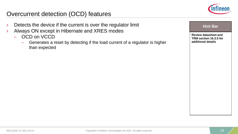

#### Overcurrent detection (OCD) features

- $\angle$  Detects the device if the current is over the regulator limit
- › Always ON except in Hibernate and XRES modes
	- OCD on VCCD
		- Generates a reset by detecting if the load current of a regulator is higher than expected

| ٠<br>EIIA |  |
|-----------|--|
|-----------|--|

**Review datasheet and TRM section 16.3.5 for additional details**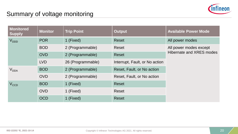

### Summary of voltage monitoring

| Monitored<br><b>Supply</b> | <b>Monitor</b> | <b>Trip Point</b> | <b>Output</b>                  | <b>Available Power Mode</b> |
|----------------------------|----------------|-------------------|--------------------------------|-----------------------------|
| V <sub>DDD</sub>           | <b>POR</b>     | 1 (Fixed)         | <b>Reset</b>                   | All power modes             |
|                            | <b>BOD</b>     | 2 (Programmable)  | Reset                          | All power modes except      |
|                            | <b>OVD</b>     | 2 (Programmable)  | <b>Reset</b>                   | Hibernate and XRES modes    |
|                            | LVD            | 26 (Programmable) | Interrupt, Fault, or No action |                             |
| V <sub>DDA</sub>           | <b>BOD</b>     | 2 (Programmable)  | Reset, Fault, or No action     |                             |
|                            | <b>OVD</b>     | 2 (Programmable)  | Reset, Fault, or No action     |                             |
| $V_{CCD}$                  | <b>BOD</b>     | 1 (Fixed)         | <b>Reset</b>                   |                             |
|                            | <b>OVD</b>     | 1 (Fixed)         | <b>Reset</b>                   |                             |
|                            | <b>OCD</b>     | 1 (Fixed)         | <b>Reset</b>                   |                             |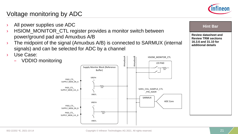

### Voltage monitoring by ADC

- All power supplies use ADC
- › HSIOM\_MONITOR\_CTL register provides a monitor switch between power/ground pad and Amuxbus A/B
- $\rightarrow$  The midpoint of the signal (Amuxbus A/B) is connected to SARMUX (internal signals) and can be selected for ADC by a channel
- › Use Case:



#### **Hint Bar**

**Review datasheet and Review TRM sections 16.3.6 and 31.10 for additional details**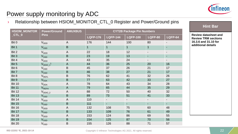

## Power supply monitoring by ADC

#### › Relationship between HSIOM\_MONITOR\_CTL\_0 Register and Power/Ground pins

| <b>HSIOM_MONITOR</b> | <b>AMUXBUS</b><br><b>Power/Ground</b> |                | <b>CYT2B Package Pin Numbers</b> |                          |                          |                          |                          |
|----------------------|---------------------------------------|----------------|----------------------------------|--------------------------|--------------------------|--------------------------|--------------------------|
| $\_CTL\_0$           | <b>Pins</b>                           |                | <b>LQFP-176</b>                  | <b>LQFP-144</b>          | <b>LQFP-100</b>          | <b>LQFP-80</b>           | <b>LQFP-64</b>           |
| Bit 0                | V <sub>DDD</sub>                      | $\overline{A}$ | 176                              | 144                      | 100                      | 80                       | $\overline{\phantom{a}}$ |
| Bit 1                | $\mathsf{V}_{\texttt{SSD}}$           | $\sf B$        | $\mathbf{1}$                     | $\mathbf{1}$             | $\mathbf 1$              | $\mathbf{1}$             |                          |
| Bit 2                | V <sub>DDD</sub>                      | $\overline{A}$ | 22                               | 18                       | 12                       | $\overline{\phantom{a}}$ | $\overline{\phantom{a}}$ |
| Bit 3                | $V_{\text{SSD}}$                      | $\sf B$        | 23                               | 19                       | 13                       | $\blacksquare$           | $\blacksquare$           |
| Bit 4                | <b>V</b> <sub>DDD</sub>               | $\mathsf{A}$   | 43                               | 35                       | 24                       | $\overline{\phantom{a}}$ | $\overline{\phantom{a}}$ |
| Bit 5                | $V_{DDIO_1}^1$                        | $\overline{A}$ | 44                               | 36                       | 25                       | 20                       | 16                       |
| Bit 6                | $V_{\tt SSD}$                         | $\sf B$        | 45                               | 37                       | 26                       | 21                       | 17                       |
| Bit 7                | $\mathsf{V}_{\textsf{SSD}}$           | $\sf B$        | 46                               | 38                       | 27                       | 21                       | 17                       |
| Bit 8                | V <sub>refl</sub>                     | $\sf B$        | 76                               | 62                       | 41                       | 32                       | 26                       |
| Bit 9                | $\rm V_{SSA}$                         | $\sf B$        | 77                               | 63                       | 42                       | 33                       | 27                       |
| <b>Bit 10</b>        | <b>V<sub>DDA</sub></b>                | $\overline{A}$ | 78                               | 64                       | 43                       | 34                       | 28                       |
| <b>Bit 11</b>        | $V_{REFH}$                            | $\overline{A}$ | 79                               | 65                       | 44                       | 35                       | 29                       |
| <b>Bit 12</b>        | $V_{DDIO_2}$                          | $\overline{A}$ | 88                               | 72                       | 50                       | 40                       | 32                       |
| <b>Bit 13</b>        | $V_{\text{SSD}}$                      | $\sf B$        | 89                               | 73                       | 51                       | 41                       | 33                       |
| <b>Bit 14</b>        | V <sub>DDD</sub>                      | $\overline{A}$ | 110                              | $\overline{\phantom{0}}$ | $\overline{\phantom{a}}$ | $\overline{\phantom{a}}$ | $\blacksquare$           |
| <b>Bit 15</b>        | $V_{\text{SSD}}$                      | $\sf B$        | 111                              | $\blacksquare$           | $\Box$                   | $\blacksquare$           | $\blacksquare$           |
| <b>Bit 16</b>        | V <sub>DDD</sub>                      | $\mathsf{A}$   | 132                              | 108                      | 75                       | 60                       | 48                       |
| <b>Bit 17</b>        | $V_{\text{SSD}}$                      | $\sf B$        | 133                              | 109                      | 76                       | 61                       | 49                       |
| <b>Bit 18</b>        | V <sub>DDD</sub>                      | $\mathsf{A}$   | 153                              | 124                      | 86                       | 69                       | 55                       |
| <b>Bit 19</b>        | $V_{\text{SSD}}$                      | $\sf B$        | 154                              | 125                      | 87                       | 70                       | 56                       |
| <b>Bit 20</b>        | $V_{\text{SSD}}$                      | $\sf B$        | 155                              | 126                      | 88                       | 71                       | 57                       |

**Review datasheet and Review TRM sections 16.3.6 and 31.10 for additional details**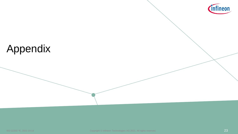

# Appendix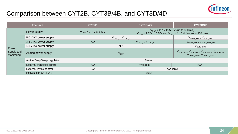#### Comparison between CYT2B, CYT3B/4B, and CYT3D/4D



| <b>Features</b>                   |                              | CYT2B                                                                                                                                         | CYT3B/4B                                                                                                                                          |                                                    |
|-----------------------------------|------------------------------|-----------------------------------------------------------------------------------------------------------------------------------------------|---------------------------------------------------------------------------------------------------------------------------------------------------|----------------------------------------------------|
|                                   | Power supply                 | $V_{DDD}$ = 2.7 V to 5.5 V (up to 300 mA)<br>$V_{DDD} = 2.7 V$ to 5.5 V<br>$V_{DDD}$ = 2.7 V to 5.5 V and $V_{CCD}$ = 1.15 V (exceeds 300 mA) |                                                                                                                                                   |                                                    |
|                                   | 5.0 V I/O power supply       | $\mathsf{V}_{\mathsf{DDIO\_1}}, \mathsf{V}_{\mathsf{DDIO\_2}}$                                                                                |                                                                                                                                                   | V <sub>DDIO_GPIO</sub> , V <sub>DDIO_SMC</sub>     |
|                                   | 3.3 V I/O power supply       | N/A                                                                                                                                           | $V_{DDIO_3}$ , $V_{DDIO_4}$                                                                                                                       | V <sub>DDIO_HSIO</sub> , V <sub>DDIO_SMIF_HV</sub> |
|                                   | 1.8 V I/O power supply       | N/A                                                                                                                                           |                                                                                                                                                   | V <sub>DDIO</sub> SMIF                             |
| Power<br>Supply and<br>Monitoring | Analog power supply          |                                                                                                                                               | V <sub>DDA_ADC</sub> , V <sub>DDA_DAC</sub> , V <sub>DDA_MIPI</sub> , V <sub>DDA_FPDx</sub> ,<br>V <sub>DDHA FPDx</sub> , V <sub>DDPLL FPDx</sub> |                                                    |
|                                   | Active/DeepSleep regulator   | Same                                                                                                                                          |                                                                                                                                                   |                                                    |
|                                   | External transistor control  | N/A                                                                                                                                           | Available                                                                                                                                         | N/A                                                |
|                                   | <b>External PMIC control</b> | N/A<br>Available                                                                                                                              |                                                                                                                                                   |                                                    |
|                                   | POR/BOD/OVD/LVD              | Same                                                                                                                                          |                                                                                                                                                   |                                                    |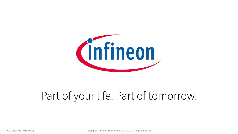

# Part of your life. Part of tomorrow.

Copyright © Infineon Technologies AG 2021. All rights reserved.